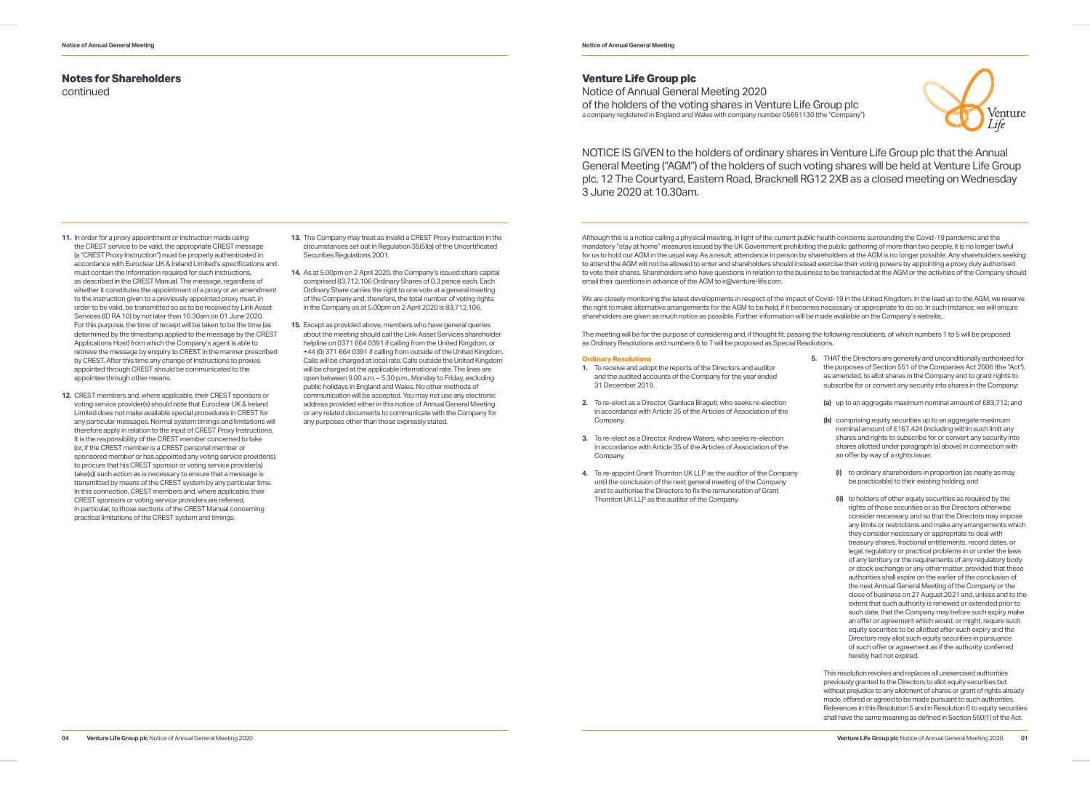## **Notes for Shareholders**

continued

- **11.** In order for a proxy appointment or instruction made using the CREST service to be valid, the appropriate CREST message (a "CREST Proxy Instruction") must be properly authenticated in accordance with Euroclear UK & Ireland Limited's specifications and must contain the information required for such instructions, as described in the CREST Manual. The message, regardless of whether it constitutes the appointment of a proxy or an amendment to the instruction given to a previously appointed proxy must, in order to be valid, be transmitted so as to be received by Link Asset Services (ID RA 10) by not later than 10.30am on 01 June 2020. For this purpose, the time of receipt will be taken to be the time (as determined by the timestamp applied to the message by the CREST Applications Host) from which the Company's agent is able to retrieve the message by enquiry to CREST in the manner prescribed by CREST. After this time any change of instructions to proxies appointed through CREST should be communicated to the appointee through other means.
- **12.** CREST members and, where applicable, their CREST sponsors or voting service provider(s) should note that Euroclear UK & Ireland Limited does not make available special procedures in CREST for any particular messages. Normal system timings and limitations will therefore apply in relation to the input of CREST Proxy Instructions. It is the responsibility of the CREST member concerned to take (or, if the CREST member is a CREST personal member or sponsored member or has appointed any voting service provider(s), to procure that his CREST sponsor or voting service provider(s) take(s)) such action as is necessary to ensure that a message is transmitted by means of the CREST system by any particular time. In this connection, CREST members and, where applicable, their CREST sponsors or voting service providers are referred, in particular, to those sections of the CREST Manual concerning practical limitations of the CREST system and timings.

Although this is a notice calling a physical meeting, in light of the current public health concerns surrounding the Covid-19 pandemic and the mandatory "stay at home" measures issued by the UK Government prohibiting the public gathering of more than two people, it is no longer lawful for us to hold our AGM in the usual way. As a result, attendance in person by shareholders at the AGM is no longer possible. Any shareholders seeking to attend the AGM will not be allowed to enter and shareholders should instead exercise their voting powers by appointing a proxy duly authorised to vote their shares. Shareholders who have questions in relation to the business to be transacted at the AGM or the activities of the Company should email their questions in advance of the AGM to ir@venture-life.com.

- **13.** The Company may treat as invalid a CREST Proxy Instruction in the circumstances set out in Regulation 35(5)(a) of the Uncertificated Securities Regulations 2001.
- **14.** As at 5.00pm on 2 April 2020, the Company's issued share capital comprised 83,712,106 Ordinary Shares of 0.3 pence each. Each Ordinary Share carries the right to one vote at a general meeting of the Company and, therefore, the total number of voting rights in the Company as at 5.00pm on 2 April 2020 is 83,712,106.
- **15.** Except as provided above, members who have general queries about the meeting should call the Link Asset Services shareholder helpline on 0371 664 0391 if calling from the United Kingdom, or +44 (0) 371 664 0391 if calling from outside of the United Kingdom. Calls will be charged at local rate. Calls outside the United Kingdom will be charged at the applicable international rate. The lines are open between 9.00 a.m. – 5.30 p.m., Monday to Friday, excluding public holidays in England and Wales. No other methods of communication will be accepted. You may not use any electronic address provided either in this notice of Annual General Meeting or any related documents to communicate with the Company for any purposes other than those expressly stated.



### **Venture Life Group plc**

Notice of Annual General Meeting 2020 of the holders of the voting shares in Venture Life Group plc a company registered in England and Wales with company number 05651130 (the "Company")

We are closely monitoring the latest developments in respect of the impact of Covid-19 in the United Kingdom. In the lead up to the AGM, we reserve the right to make alternative arrangements for the AGM to be held, if it becomes necessary or appropriate to do so. In such instance, we will ensure shareholders are given as much notice as possible. Further information will be made available on the Company's website, .

The meeting will be for the purpose of considering and, if thought fit, passing the following resolutions, of which numbers 1 to 5 will be proposed as Ordinary Resolutions and numbers 6 to 7 will be proposed as Special Resolutions.

#### **Ordinary Resolutions**

- **1.** To receive and adopt the reports of the Directors and auditor and the audited accounts of the Company for the year ended 31 December 2019.
- **2.** To re-elect as a Director, Gianluca Braguti, who seeks re-election in accordance with Article 35 of the Articles of Association of the Company.
- **3.** To re-elect as a Director, Andrew Waters, who seeks re-election in accordance with Article 35 of the Articles of Association of the Company.
- **4.** To re-appoint Grant Thornton UK LLP as the auditor of the Company until the conclusion of the next general meeting of the Company and to authorise the Directors to fix the remuneration of Grant Thornton UK LLP as the auditor of the Company.

| 5. | THAT the Directors are generally and unconditionally authorised for<br>the purposes of Section 551 of the Companies Act 2006 (the "Act"),<br>as amended, to allot shares in the Company and to grant rights to<br>subscribe for or convert any security into shares in the Company: |                                                                                                                                                                                                                                                                                                      |                                                                                                                                                                                                                                                                                                                                                                                                                                                                                                                                                                                                                                                                                                                                                                                                                                                                                                                                                                                                                                                                                                                                    |  |
|----|-------------------------------------------------------------------------------------------------------------------------------------------------------------------------------------------------------------------------------------------------------------------------------------|------------------------------------------------------------------------------------------------------------------------------------------------------------------------------------------------------------------------------------------------------------------------------------------------------|------------------------------------------------------------------------------------------------------------------------------------------------------------------------------------------------------------------------------------------------------------------------------------------------------------------------------------------------------------------------------------------------------------------------------------------------------------------------------------------------------------------------------------------------------------------------------------------------------------------------------------------------------------------------------------------------------------------------------------------------------------------------------------------------------------------------------------------------------------------------------------------------------------------------------------------------------------------------------------------------------------------------------------------------------------------------------------------------------------------------------------|--|
|    |                                                                                                                                                                                                                                                                                     |                                                                                                                                                                                                                                                                                                      | (a) up to an aggregate maximum nominal amount of £83,712; and                                                                                                                                                                                                                                                                                                                                                                                                                                                                                                                                                                                                                                                                                                                                                                                                                                                                                                                                                                                                                                                                      |  |
|    |                                                                                                                                                                                                                                                                                     | (b) comprising equity securities up to an aggregate maximum<br>nominal amount of £167,424 (including within such limit any<br>shares and rights to subscribe for or convert any security into<br>shares allotted under paragraph (a) above) in connection with<br>an offer by way of a rights issue: |                                                                                                                                                                                                                                                                                                                                                                                                                                                                                                                                                                                                                                                                                                                                                                                                                                                                                                                                                                                                                                                                                                                                    |  |
|    |                                                                                                                                                                                                                                                                                     | (i)                                                                                                                                                                                                                                                                                                  | to ordinary shareholders in proportion (as nearly as may<br>be practicable) to their existing holding; and                                                                                                                                                                                                                                                                                                                                                                                                                                                                                                                                                                                                                                                                                                                                                                                                                                                                                                                                                                                                                         |  |
|    |                                                                                                                                                                                                                                                                                     | (ii)                                                                                                                                                                                                                                                                                                 | to holders of other equity securities as required by the<br>rights of those securities or as the Directors otherwise<br>consider necessary, and so that the Directors may impose<br>any limits or restrictions and make any arrangements which<br>they consider necessary or appropriate to deal with<br>treasury shares, fractional entitlements, record dates, or<br>legal, regulatory or practical problems in or under the laws<br>of any territory or the requirements of any regulatory body<br>or stock exchange or any other matter, provided that these<br>authorities shall expire on the earlier of the conclusion of<br>the next Annual General Meeting of the Company or the<br>close of business on 27 August 2021 and, unless and to the<br>extent that such authority is renewed or extended prior to<br>such date, that the Company may before such expiry make<br>an offer or agreement which would, or might, require such<br>equity securities to be allotted after such expiry and the<br>Directors may allot such equity securities in pursuance<br>of such offer or agreement as if the authority conferred |  |

hereby had not expired.

This resolution revokes and replaces all unexercised authorities previously granted to the Directors to allot equity securities but without prejudice to any allotment of shares or grant of rights already made, offered or agreed to be made pursuant to such authorities. References in this Resolution 5 and in Resolution 6 to equity securities shall have the same meaning as defined in Section 560(1) of the Act.

# NOTICE IS GIVEN to the holders of ordinary shares in Venture Life Group plc that the Annual General Meeting ("AGM") of the holders of such voting shares will be held at Venture Life Group plc, 12 The Courtyard, Eastern Road, Bracknell RG12 2XB as a closed meeting on Wednesday

3 June 2020 at 10.30am.